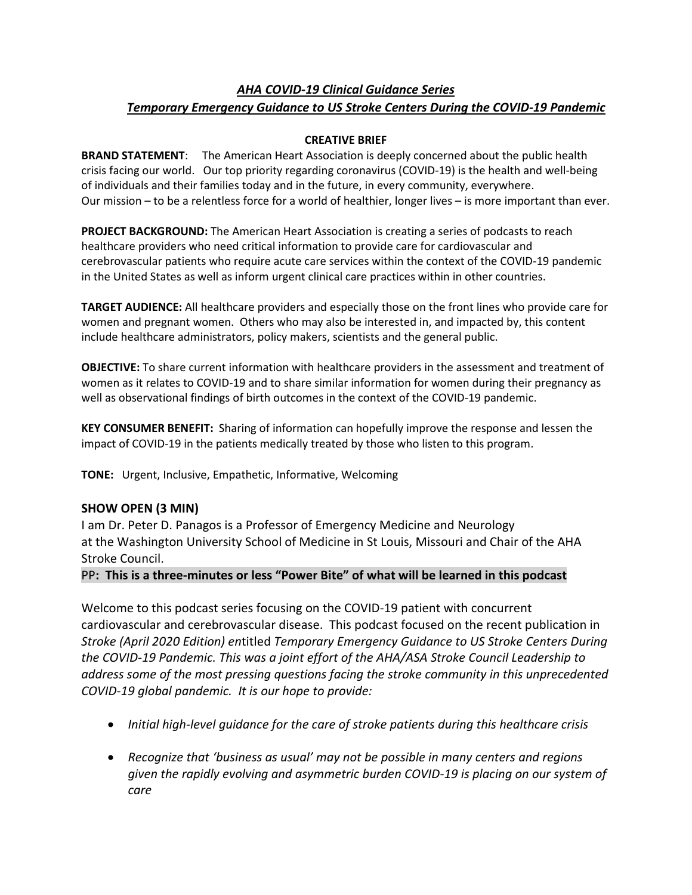# *AHA COVID-19 Clinical Guidance Series Temporary Emergency Guidance to US Stroke Centers During the COVID-19 Pandemic*

# **CREATIVE BRIEF**

**BRAND STATEMENT**: The American Heart Association is deeply concerned about the public health crisis facing our world. Our top priority regarding coronavirus (COVID-19) is the health and well-being of individuals and their families today and in the future, in every community, everywhere. Our mission – to be a relentless force for a world of healthier, longer lives – is more important than ever.

**PROJECT BACKGROUND:** The American Heart Association is creating a series of podcasts to reach healthcare providers who need critical information to provide care for cardiovascular and cerebrovascular patients who require acute care services within the context of the COVID-19 pandemic in the United States as well as inform urgent clinical care practices within in other countries.

**TARGET AUDIENCE:** All healthcare providers and especially those on the front lines who provide care for women and pregnant women. Others who may also be interested in, and impacted by, this content include healthcare administrators, policy makers, scientists and the general public.

**OBJECTIVE:** To share current information with healthcare providers in the assessment and treatment of women as it relates to COVID-19 and to share similar information for women during their pregnancy as well as observational findings of birth outcomes in the context of the COVID-19 pandemic.

**KEY CONSUMER BENEFIT:** Sharing of information can hopefully improve the response and lessen the impact of COVID-19 in the patients medically treated by those who listen to this program.

**TONE:** Urgent, Inclusive, Empathetic, Informative, Welcoming

# **SHOW OPEN (3 MIN)**

I am Dr. Peter D. Panagos is a Professor of Emergency Medicine and Neurology at the Washington University School of Medicine in St Louis, Missouri and Chair of the AHA Stroke Council.

## PP**: This is a three-minutes or less "Power Bite" of what will be learned in this podcast**

Welcome to this podcast series focusing on the COVID-19 patient with concurrent cardiovascular and cerebrovascular disease. This podcast focused on the recent publication in *Stroke (April 2020 Edition) en*titled *Temporary Emergency Guidance to US Stroke Centers During the COVID-19 Pandemic. This was a joint effort of the AHA/ASA Stroke Council Leadership to address some of the most pressing questions facing the stroke community in this unprecedented COVID-19 global pandemic. It is our hope to provide:*

- *Initial high-level guidance for the care of stroke patients during this healthcare crisis*
- *Recognize that 'business as usual' may not be possible in many centers and regions given the rapidly evolving and asymmetric burden COVID-19 is placing on our system of care*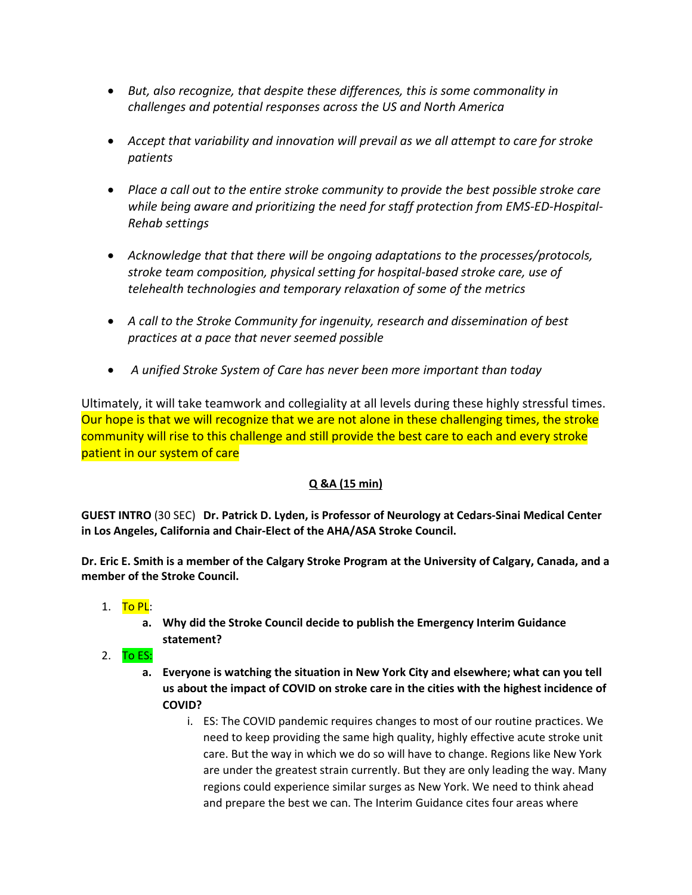- *But, also recognize, that despite these differences, this is some commonality in challenges and potential responses across the US and North America*
- *Accept that variability and innovation will prevail as we all attempt to care for stroke patients*
- *Place a call out to the entire stroke community to provide the best possible stroke care while being aware and prioritizing the need for staff protection from EMS-ED-Hospital-Rehab settings*
- *Acknowledge that that there will be ongoing adaptations to the processes/protocols, stroke team composition, physical setting for hospital-based stroke care, use of telehealth technologies and temporary relaxation of some of the metrics*
- *A call to the Stroke Community for ingenuity, research and dissemination of best practices at a pace that never seemed possible*
- *A unified Stroke System of Care has never been more important than today*

Ultimately, it will take teamwork and collegiality at all levels during these highly stressful times. Our hope is that we will recognize that we are not alone in these challenging times, the stroke community will rise to this challenge and still provide the best care to each and every stroke patient in our system of care

# **Q &A (15 min)**

**GUEST INTRO** (30 SEC) **Dr. Patrick D. Lyden, is Professor of Neurology at Cedars-Sinai Medical Center in Los Angeles, California and Chair-Elect of the AHA/ASA Stroke Council.**

**Dr. Eric E. Smith is a member of the Calgary Stroke Program at the University of Calgary, Canada, and a member of the Stroke Council.**

- 1.  $\overline{To PL}$ :
	- **a. Why did the Stroke Council decide to publish the Emergency Interim Guidance statement?**
- 2.  $To ES:$ 
	- **a. Everyone is watching the situation in New York City and elsewhere; what can you tell us about the impact of COVID on stroke care in the cities with the highest incidence of COVID?**
		- i. ES: The COVID pandemic requires changes to most of our routine practices. We need to keep providing the same high quality, highly effective acute stroke unit care. But the way in which we do so will have to change. Regions like New York are under the greatest strain currently. But they are only leading the way. Many regions could experience similar surges as New York. We need to think ahead and prepare the best we can. The Interim Guidance cites four areas where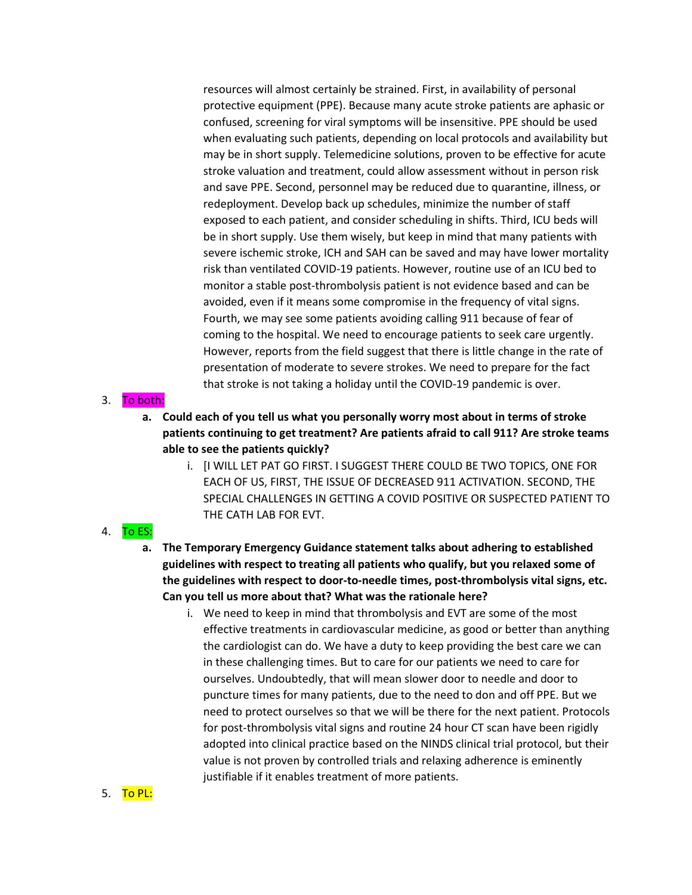resources will almost certainly be strained. First, in availability of personal protective equipment (PPE). Because many acute stroke patients are aphasic or confused, screening for viral symptoms will be insensitive. PPE should be used when evaluating such patients, depending on local protocols and availability but may be in short supply. Telemedicine solutions, proven to be effective for acute stroke valuation and treatment, could allow assessment without in person risk and save PPE. Second, personnel may be reduced due to quarantine, illness, or redeployment. Develop back up schedules, minimize the number of staff exposed to each patient, and consider scheduling in shifts. Third, ICU beds will be in short supply. Use them wisely, but keep in mind that many patients with severe ischemic stroke, ICH and SAH can be saved and may have lower mortality risk than ventilated COVID-19 patients. However, routine use of an ICU bed to monitor a stable post-thrombolysis patient is not evidence based and can be avoided, even if it means some compromise in the frequency of vital signs. Fourth, we may see some patients avoiding calling 911 because of fear of coming to the hospital. We need to encourage patients to seek care urgently. However, reports from the field suggest that there is little change in the rate of presentation of moderate to severe strokes. We need to prepare for the fact that stroke is not taking a holiday until the COVID-19 pandemic is over.

### 3. To both:

- **a. Could each of you tell us what you personally worry most about in terms of stroke patients continuing to get treatment? Are patients afraid to call 911? Are stroke teams able to see the patients quickly?** 
	- i. [I WILL LET PAT GO FIRST. I SUGGEST THERE COULD BE TWO TOPICS, ONE FOR EACH OF US, FIRST, THE ISSUE OF DECREASED 911 ACTIVATION. SECOND, THE SPECIAL CHALLENGES IN GETTING A COVID POSITIVE OR SUSPECTED PATIENT TO THE CATH LAB FOR EVT.

### 4. To ES:

- **a. The Temporary Emergency Guidance statement talks about adhering to established guidelines with respect to treating all patients who qualify, but you relaxed some of the guidelines with respect to door-to-needle times, post-thrombolysis vital signs, etc. Can you tell us more about that? What was the rationale here?** 
	- i. We need to keep in mind that thrombolysis and EVT are some of the most effective treatments in cardiovascular medicine, as good or better than anything the cardiologist can do. We have a duty to keep providing the best care we can in these challenging times. But to care for our patients we need to care for ourselves. Undoubtedly, that will mean slower door to needle and door to puncture times for many patients, due to the need to don and off PPE. But we need to protect ourselves so that we will be there for the next patient. Protocols for post-thrombolysis vital signs and routine 24 hour CT scan have been rigidly adopted into clinical practice based on the NINDS clinical trial protocol, but their value is not proven by controlled trials and relaxing adherence is eminently justifiable if it enables treatment of more patients.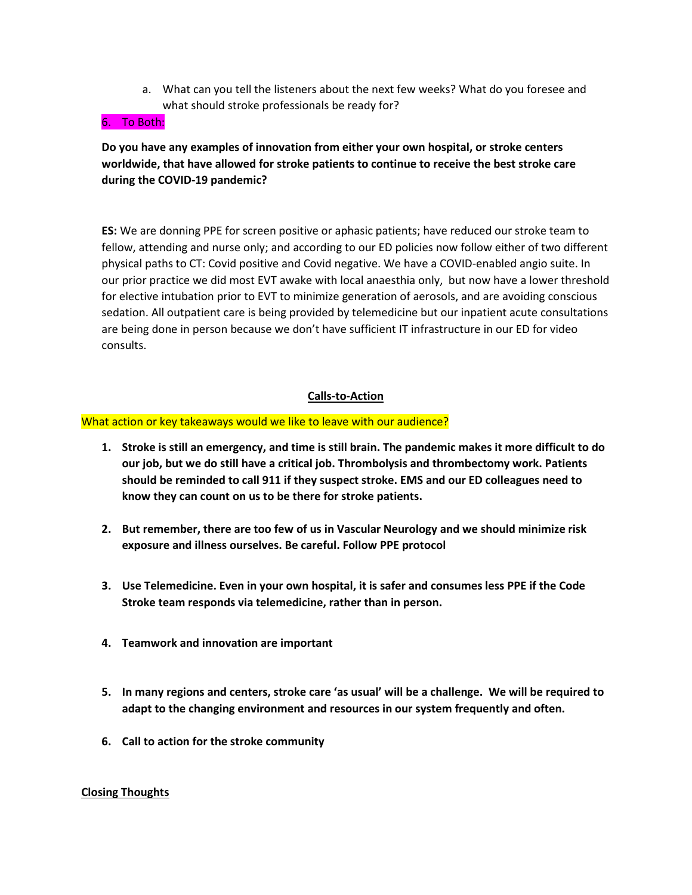a. What can you tell the listeners about the next few weeks? What do you foresee and what should stroke professionals be ready for?

#### 6. To Both:

# **Do you have any examples of innovation from either your own hospital, or stroke centers worldwide, that have allowed for stroke patients to continue to receive the best stroke care during the COVID-19 pandemic?**

**ES:** We are donning PPE for screen positive or aphasic patients; have reduced our stroke team to fellow, attending and nurse only; and according to our ED policies now follow either of two different physical paths to CT: Covid positive and Covid negative. We have a COVID-enabled angio suite. In our prior practice we did most EVT awake with local anaesthia only, but now have a lower threshold for elective intubation prior to EVT to minimize generation of aerosols, and are avoiding conscious sedation. All outpatient care is being provided by telemedicine but our inpatient acute consultations are being done in person because we don't have sufficient IT infrastructure in our ED for video consults.

### **Calls-to-Action**

#### What action or key takeaways would we like to leave with our audience?

- **1. Stroke is still an emergency, and time is still brain. The pandemic makes it more difficult to do our job, but we do still have a critical job. Thrombolysis and thrombectomy work. Patients should be reminded to call 911 if they suspect stroke. EMS and our ED colleagues need to know they can count on us to be there for stroke patients.**
- **2. But remember, there are too few of us in Vascular Neurology and we should minimize risk exposure and illness ourselves. Be careful. Follow PPE protocol**
- **3. Use Telemedicine. Even in your own hospital, it is safer and consumes less PPE if the Code Stroke team responds via telemedicine, rather than in person.**
- **4. Teamwork and innovation are important**
- **5. In many regions and centers, stroke care 'as usual' will be a challenge. We will be required to adapt to the changing environment and resources in our system frequently and often.**
- **6. Call to action for the stroke community**

#### **Closing Thoughts**